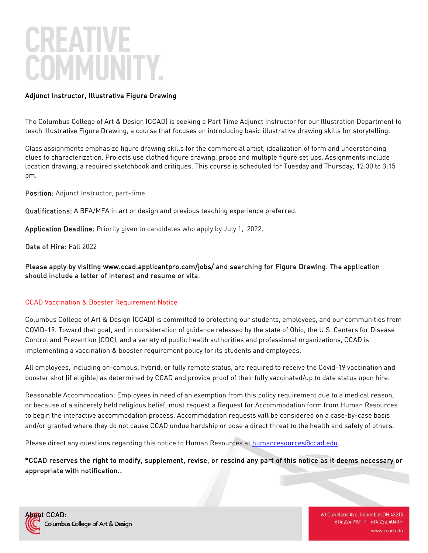# Adjunct Instructor, Illustrative Figure Drawing

The Columbus College of Art & Design (CCAD) is seeking a Part Time Adjunct Instructor for our Illustration Department to teach Illustrative Figure Drawing, a course that focuses on introducing basic illustrative drawing skills for storytelling.

Class assignments emphasize figure drawing skills for the commercial artist, idealization of form and understanding clues to characterization. Projects use clothed figure drawing, props and multiple figure set ups. Assignments include location drawing, a required sketchbook and critiques. This course is scheduled for Tuesday and Thursday, 12:30 to 3:15 pm.

Position: Adjunct Instructor, part-time

Qualifications: A BFA/MFA in art or design and previous teaching experience preferred.

Application Deadline: Priority given to candidates who apply by July 1, 2022.

Date of Hire: Fall 2022

Please apply by visiting [www.ccad.applicantpro.com/jobs/ a](http://www.ccad.applicantpro.com/jobs/)nd searching for Figure Drawing. The application should include a letter of interest and resume or vita.

## CCAD Vaccination & Booster Requirement Notice

Columbus College of Art & Design (CCAD) is committed to protecting our students, employees, and our communities from COVID-19. Toward that goal, and in consideration of guidance released by the state of Ohio, the U.S. Centers for Disease Control and Prevention (CDC), and a variety of public health authorities and professional organizations, CCAD is implementing a vaccination & booster requirement policy for its students and employees.

All employees, including on-campus, hybrid, or fully remote status, are required to receive the Covid-19 vaccination and booster shot (if eligible) as determined by CCAD and provide proof of their fully vaccinated/up to date status upon hire.

Reasonable Accommodation: Employees in need of an exemption from this policy requirement due to a medical reason, or because of a sincerely held religious belief, must request a Request for Accommodation form from Human Resources to begin the interactive accommodation process. Accommodation requests will be considered on a case-by-case basis and/or granted where they do not cause CCAD undue hardship or pose a direct threat to the health and safety of others.

Please direct any questions regarding this notice to Human Resources at [humanresources@ccad.edu.](mailto:humanresources@ccad.edu)

\*CCAD reserves the right to modify, supplement, revise, or rescind any part of this notice as it deems necessary or appropriate with notification..



60 Cleveland Ave. Columbus OH 43215 614.224.9101 P 614.222.4040 F www.ccad.edu